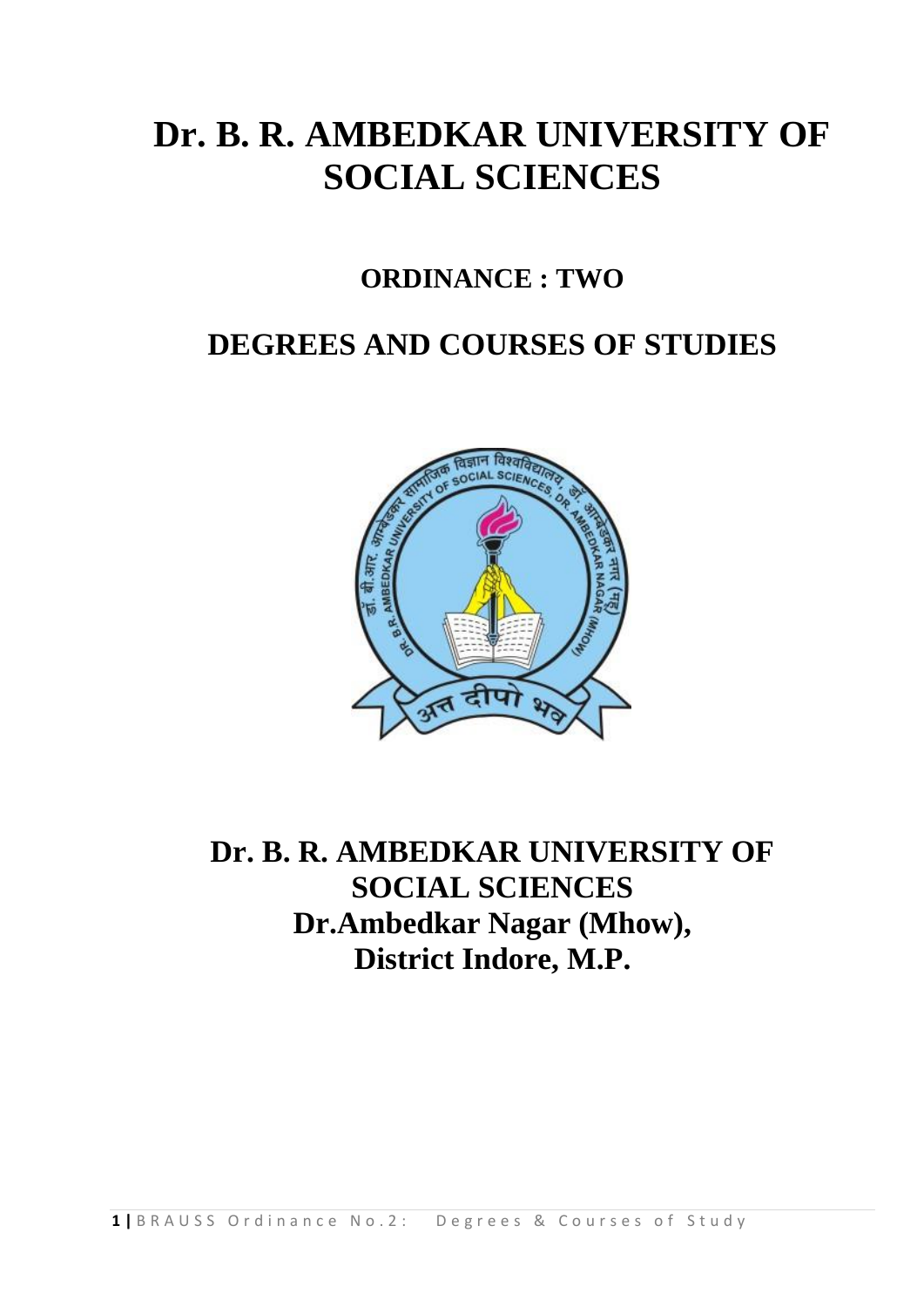# **Dr. B. R. AMBEDKAR UNIVERSITY OF SOCIAL SCIENCES**

## **ORDINANCE : TWO**

## **DEGREES AND COURSES OF STUDIES**



**Dr. B. R. AMBEDKAR UNIVERSITY OF SOCIAL SCIENCES Dr.Ambedkar Nagar (Mhow), District Indore, M.P.**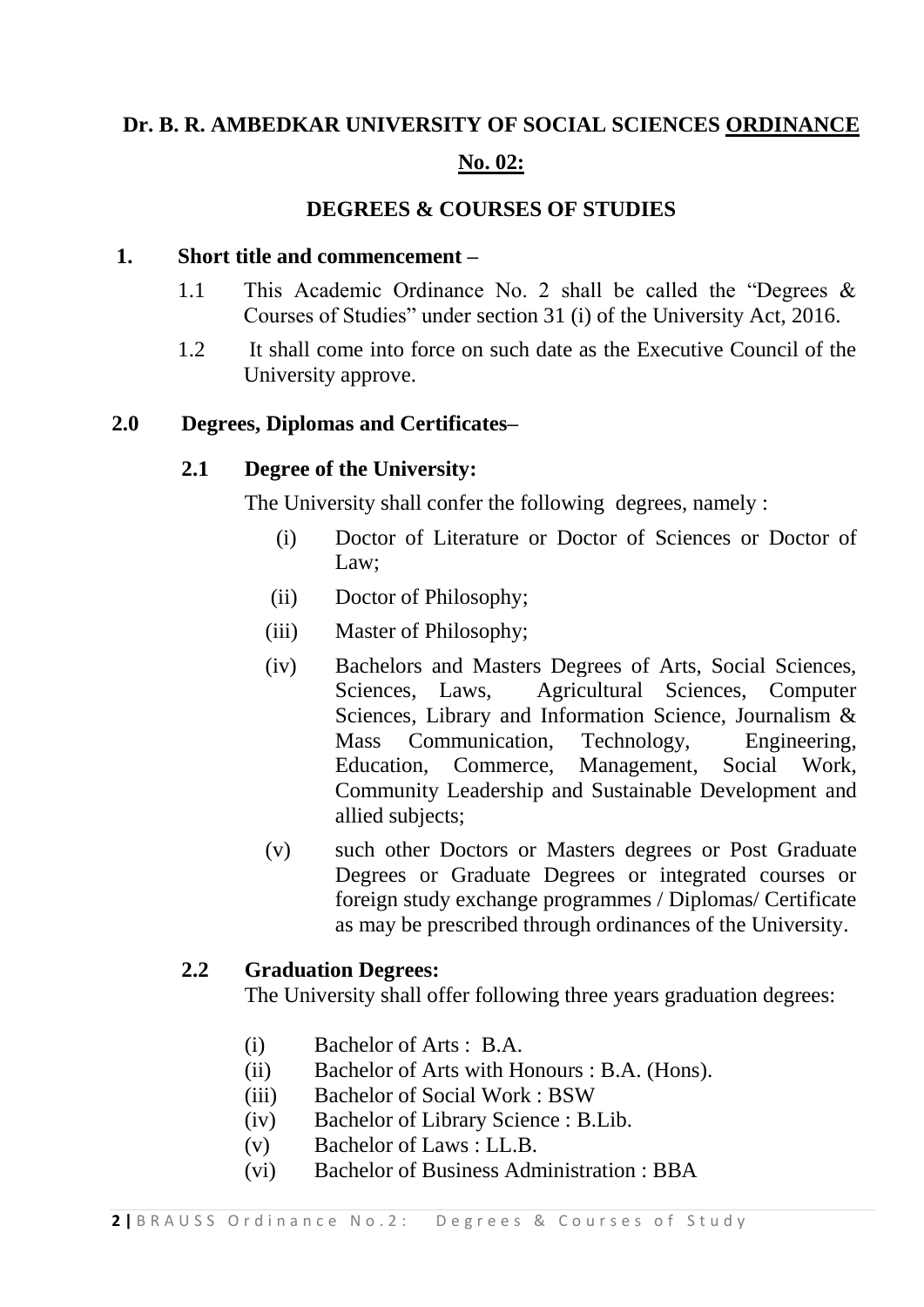## **Dr. B. R. AMBEDKAR UNIVERSITY OF SOCIAL SCIENCES ORDINANCE**

#### **No. 02:**

#### **DEGREES & COURSES OF STUDIES**

#### **1. Short title and commencement –**

- 1.1 This Academic Ordinance No. 2 shall be called the "Degrees & Courses of Studies" under section 31 (i) of the University Act, 2016.
- 1.2 It shall come into force on such date as the Executive Council of the University approve.

#### **2.0 Degrees, Diplomas and Certificates–**

#### **2.1 Degree of the University:**

The University shall confer the following degrees, namely :

- (i) Doctor of Literature or Doctor of Sciences or Doctor of Law;
- (ii) Doctor of Philosophy;
- (iii) Master of Philosophy;
- (iv) Bachelors and Masters Degrees of Arts, Social Sciences, Sciences, Laws, Agricultural Sciences, Computer Sciences, Library and Information Science, Journalism & Mass Communication, Technology, Engineering, Education, Commerce, Management, Social Work, Community Leadership and Sustainable Development and allied subjects;
- (v) such other Doctors or Masters degrees or Post Graduate Degrees or Graduate Degrees or integrated courses or foreign study exchange programmes / Diplomas/ Certificate as may be prescribed through ordinances of the University.

#### **2.2 Graduation Degrees:**

The University shall offer following three years graduation degrees:

- (i) Bachelor of Arts : B.A.
- (ii) Bachelor of Arts with Honours : B.A. (Hons).
- (iii) Bachelor of Social Work : BSW
- (iv) Bachelor of Library Science : B.Lib.
- (v) Bachelor of Laws : LL.B.
- (vi) Bachelor of Business Administration : BBA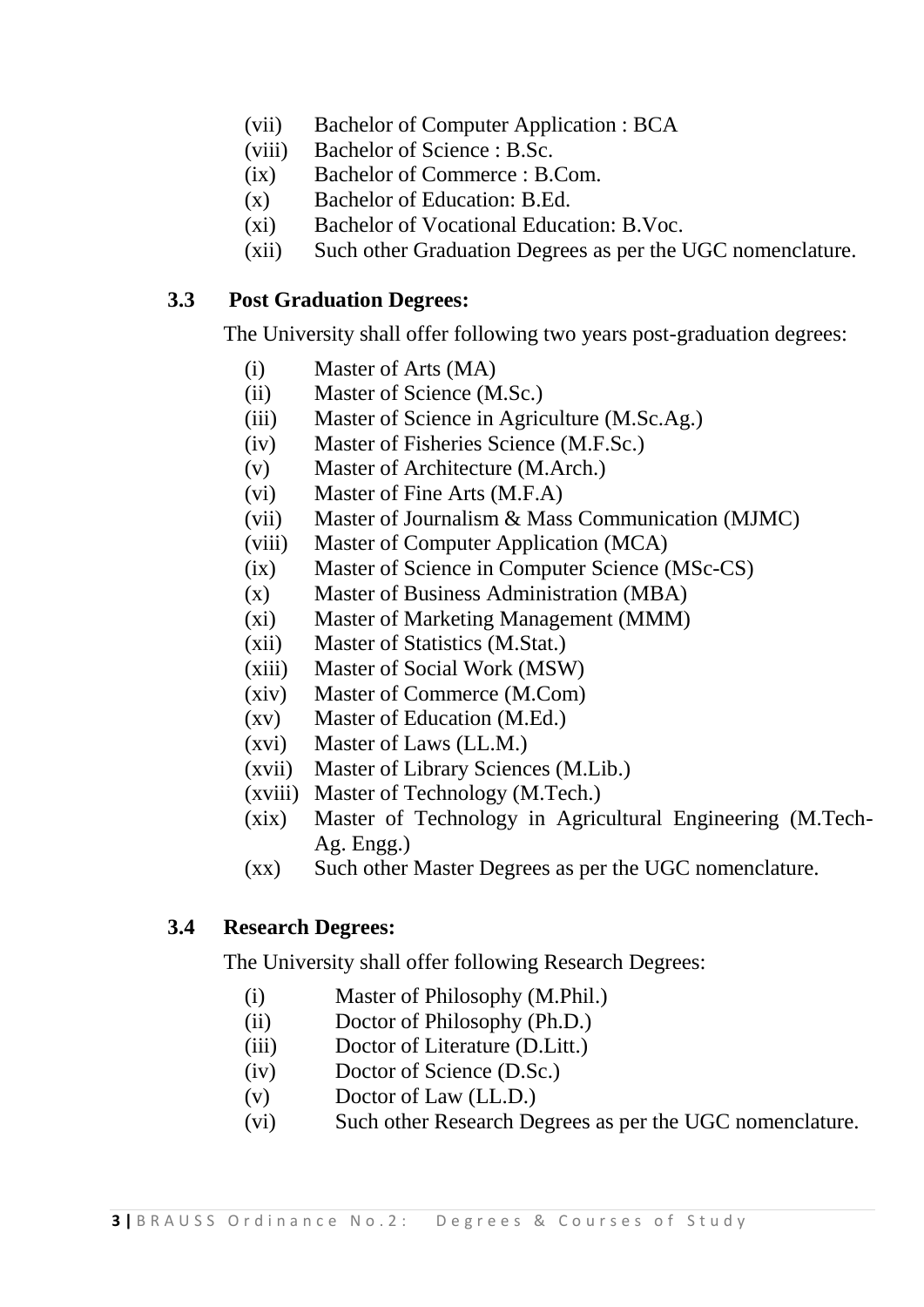- (vii) Bachelor of Computer Application : BCA
- (viii) Bachelor of Science : B.Sc.
- (ix) Bachelor of Commerce : B.Com.
- (x) Bachelor of Education: B.Ed.
- (xi) Bachelor of Vocational Education: B.Voc.
- (xii) Such other Graduation Degrees as per the UGC nomenclature.

#### **3.3 Post Graduation Degrees:**

The University shall offer following two years post-graduation degrees:

- (i) Master of Arts (MA)
- (ii) Master of Science (M.Sc.)
- (iii) Master of Science in Agriculture (M.Sc.Ag.)
- (iv) Master of Fisheries Science (M.F.Sc.)
- (v) Master of Architecture (M.Arch.)
- (vi) Master of Fine Arts (M.F.A)
- (vii) Master of Journalism & Mass Communication (MJMC)
- (viii) Master of Computer Application (MCA)
- (ix) Master of Science in Computer Science (MSc-CS)
- (x) Master of Business Administration (MBA)
- (xi) Master of Marketing Management (MMM)
- (xii) Master of Statistics (M.Stat.)
- (xiii) Master of Social Work (MSW)
- (xiv) Master of Commerce (M.Com)
- (xv) Master of Education (M.Ed.)
- (xvi) Master of Laws (LL.M.)
- (xvii) Master of Library Sciences (M.Lib.)
- (xviii) Master of Technology (M.Tech.)
- (xix) Master of Technology in Agricultural Engineering (M.Tech-Ag. Engg.)
- (xx) Such other Master Degrees as per the UGC nomenclature.

#### **3.4 Research Degrees:**

The University shall offer following Research Degrees:

- (i) Master of Philosophy (M.Phil.)
- (ii) Doctor of Philosophy (Ph.D.)
- (iii) Doctor of Literature (D.Litt.)
- (iv) Doctor of Science (D.Sc.)
- (v) Doctor of Law (LL.D.)
- (vi) Such other Research Degrees as per the UGC nomenclature.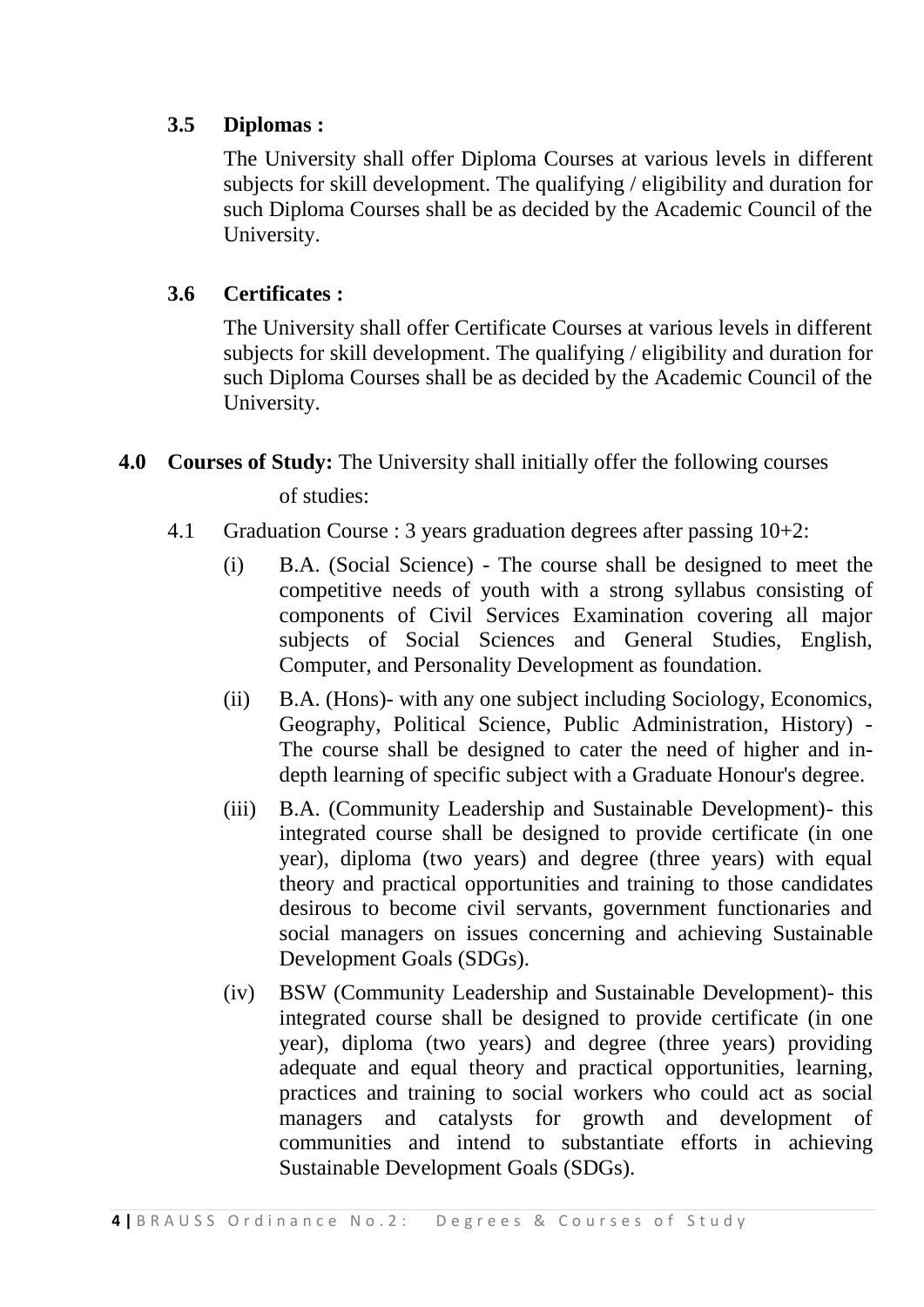## **3.5 Diplomas :**

The University shall offer Diploma Courses at various levels in different subjects for skill development. The qualifying / eligibility and duration for such Diploma Courses shall be as decided by the Academic Council of the University.

### **3.6 Certificates :**

The University shall offer Certificate Courses at various levels in different subjects for skill development. The qualifying / eligibility and duration for such Diploma Courses shall be as decided by the Academic Council of the University.

**4.0 Courses of Study:** The University shall initially offer the following courses

of studies:

- 4.1 Graduation Course : 3 years graduation degrees after passing 10+2:
	- (i) B.A. (Social Science) The course shall be designed to meet the competitive needs of youth with a strong syllabus consisting of components of Civil Services Examination covering all major subjects of Social Sciences and General Studies, English, Computer, and Personality Development as foundation.
	- (ii) B.A. (Hons)- with any one subject including Sociology, Economics, Geography, Political Science, Public Administration, History) - The course shall be designed to cater the need of higher and indepth learning of specific subject with a Graduate Honour's degree.
	- (iii) B.A. (Community Leadership and Sustainable Development)- this integrated course shall be designed to provide certificate (in one year), diploma (two years) and degree (three years) with equal theory and practical opportunities and training to those candidates desirous to become civil servants, government functionaries and social managers on issues concerning and achieving Sustainable Development Goals (SDGs).
	- (iv) BSW (Community Leadership and Sustainable Development)- this integrated course shall be designed to provide certificate (in one year), diploma (two years) and degree (three years) providing adequate and equal theory and practical opportunities, learning, practices and training to social workers who could act as social managers and catalysts for growth and development of communities and intend to substantiate efforts in achieving Sustainable Development Goals (SDGs).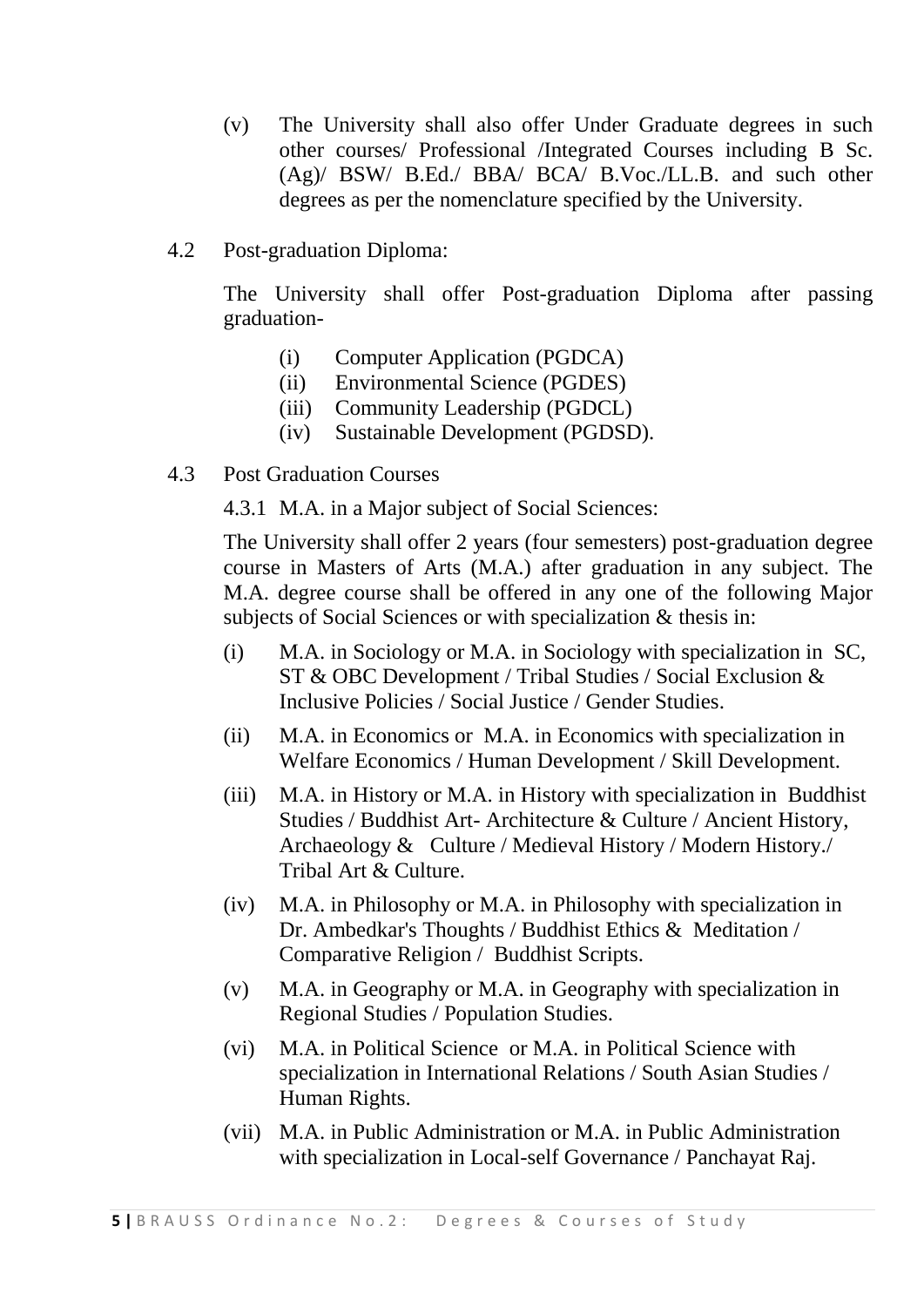- (v) The University shall also offer Under Graduate degrees in such other courses/ Professional /Integrated Courses including B Sc. (Ag)/ BSW/ B.Ed./ BBA/ BCA/ B.Voc./LL.B. and such other degrees as per the nomenclature specified by the University.
- 4.2 Post-graduation Diploma:

The University shall offer Post-graduation Diploma after passing graduation-

- (i) Computer Application (PGDCA)
- (ii) Environmental Science (PGDES)
- (iii) Community Leadership (PGDCL)
- (iv) Sustainable Development (PGDSD).
- 4.3 Post Graduation Courses

4.3.1 M.A. in a Major subject of Social Sciences:

The University shall offer 2 years (four semesters) post-graduation degree course in Masters of Arts (M.A.) after graduation in any subject. The M.A. degree course shall be offered in any one of the following Major subjects of Social Sciences or with specialization & thesis in:

- (i) M.A. in Sociology or M.A. in Sociology with specialization in SC, ST & OBC Development / Tribal Studies / Social Exclusion & Inclusive Policies / Social Justice / Gender Studies.
- (ii) M.A. in Economics or M.A. in Economics with specialization in Welfare Economics / Human Development / Skill Development.
- (iii) M.A. in History or M.A. in History with specialization in Buddhist Studies / Buddhist Art- Architecture & Culture / Ancient History, Archaeology & Culture / Medieval History / Modern History./ Tribal Art & Culture.
- (iv) M.A. in Philosophy or M.A. in Philosophy with specialization in Dr. Ambedkar's Thoughts / Buddhist Ethics & Meditation / Comparative Religion / Buddhist Scripts.
- (v) M.A. in Geography or M.A. in Geography with specialization in Regional Studies / Population Studies.
- (vi) M.A. in Political Science or M.A. in Political Science with specialization in International Relations / South Asian Studies / Human Rights.
- (vii) M.A. in Public Administration or M.A. in Public Administration with specialization in Local-self Governance / Panchayat Raj.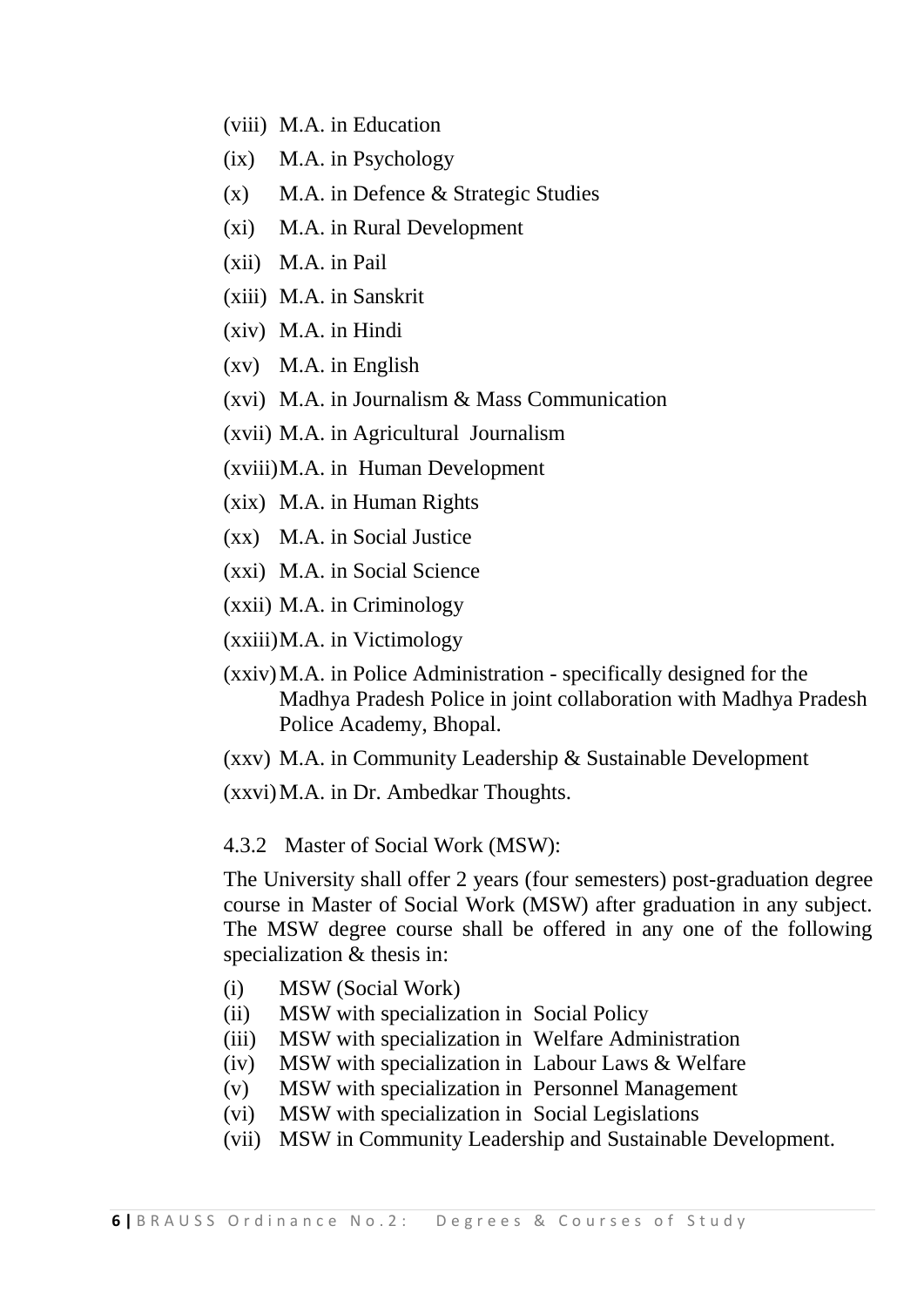- (viii) M.A. in Education
- (ix) M.A. in Psychology
- (x) M.A. in Defence & Strategic Studies
- (xi) M.A. in Rural Development
- (xii) M.A. in Pail
- (xiii) M.A. in Sanskrit
- (xiv) M.A. in Hindi
- (xv) M.A. in English
- (xvi) M.A. in Journalism & Mass Communication
- (xvii) M.A. in Agricultural Journalism
- (xviii)M.A. in Human Development
- (xix) M.A. in Human Rights
- (xx) M.A. in Social Justice
- (xxi) M.A. in Social Science
- (xxii) M.A. in Criminology
- (xxiii)M.A. in Victimology
- (xxiv)M.A. in Police Administration specifically designed for the Madhya Pradesh Police in joint collaboration with Madhya Pradesh Police Academy, Bhopal.
- (xxv) M.A. in Community Leadership & Sustainable Development

(xxvi)M.A. in Dr. Ambedkar Thoughts.

#### 4.3.2 Master of Social Work (MSW):

The University shall offer 2 years (four semesters) post-graduation degree course in Master of Social Work (MSW) after graduation in any subject. The MSW degree course shall be offered in any one of the following specialization & thesis in:

- (i) MSW (Social Work)
- (ii) MSW with specialization in Social Policy
- (iii) MSW with specialization in Welfare Administration
- (iv) MSW with specialization in Labour Laws & Welfare
- (v) MSW with specialization in Personnel Management
- (vi) MSW with specialization in Social Legislations
- (vii) MSW in Community Leadership and Sustainable Development.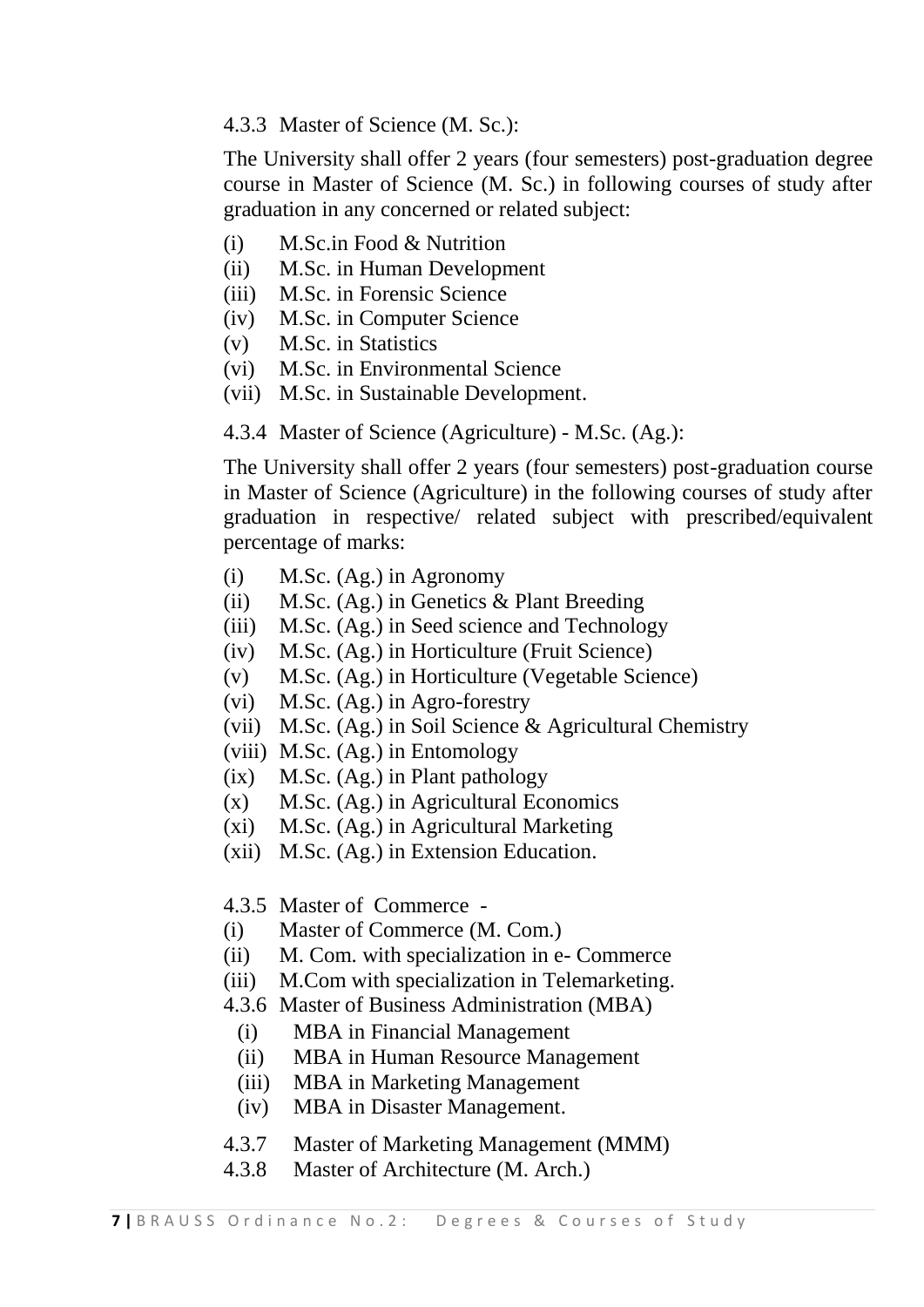4.3.3 Master of Science (M. Sc.):

The University shall offer 2 years (four semesters) post-graduation degree course in Master of Science (M. Sc.) in following courses of study after graduation in any concerned or related subject:

- (i) M.Sc.in Food & Nutrition
- (ii) M.Sc. in Human Development
- (iii) M.Sc. in Forensic Science
- (iv) M.Sc. in Computer Science
- (v) M.Sc. in Statistics
- (vi) M.Sc. in Environmental Science
- (vii) M.Sc. in Sustainable Development.

4.3.4 Master of Science (Agriculture) - M.Sc. (Ag.):

The University shall offer 2 years (four semesters) post-graduation course in Master of Science (Agriculture) in the following courses of study after graduation in respective/ related subject with prescribed/equivalent percentage of marks:

- (i) M.Sc. (Ag.) in Agronomy
- (ii) M.Sc. (Ag.) in Genetics & Plant Breeding
- (iii) M.Sc. (Ag.) in Seed science and Technology
- (iv) M.Sc. (Ag.) in Horticulture (Fruit Science)
- (v) M.Sc. (Ag.) in Horticulture (Vegetable Science)
- (vi) M.Sc. (Ag.) in Agro-forestry
- (vii) M.Sc. (Ag.) in Soil Science & Agricultural Chemistry
- (viii) M.Sc. (Ag.) in Entomology
- (ix) M.Sc. (Ag.) in Plant pathology
- (x) M.Sc. (Ag.) in Agricultural Economics
- (xi) M.Sc. (Ag.) in Agricultural Marketing
- (xii) M.Sc. (Ag.) in Extension Education.
- 4.3.5 Master of Commerce -
- (i) Master of Commerce (M. Com.)
- (ii) M. Com. with specialization in e- Commerce
- (iii) M.Com with specialization in Telemarketing.
- 4.3.6 Master of Business Administration (MBA)
	- (i) MBA in Financial Management
	- (ii) MBA in Human Resource Management
	- (iii) MBA in Marketing Management
	- (iv) MBA in Disaster Management.
- 4.3.7 Master of Marketing Management (MMM)
- 4.3.8 Master of Architecture (M. Arch.)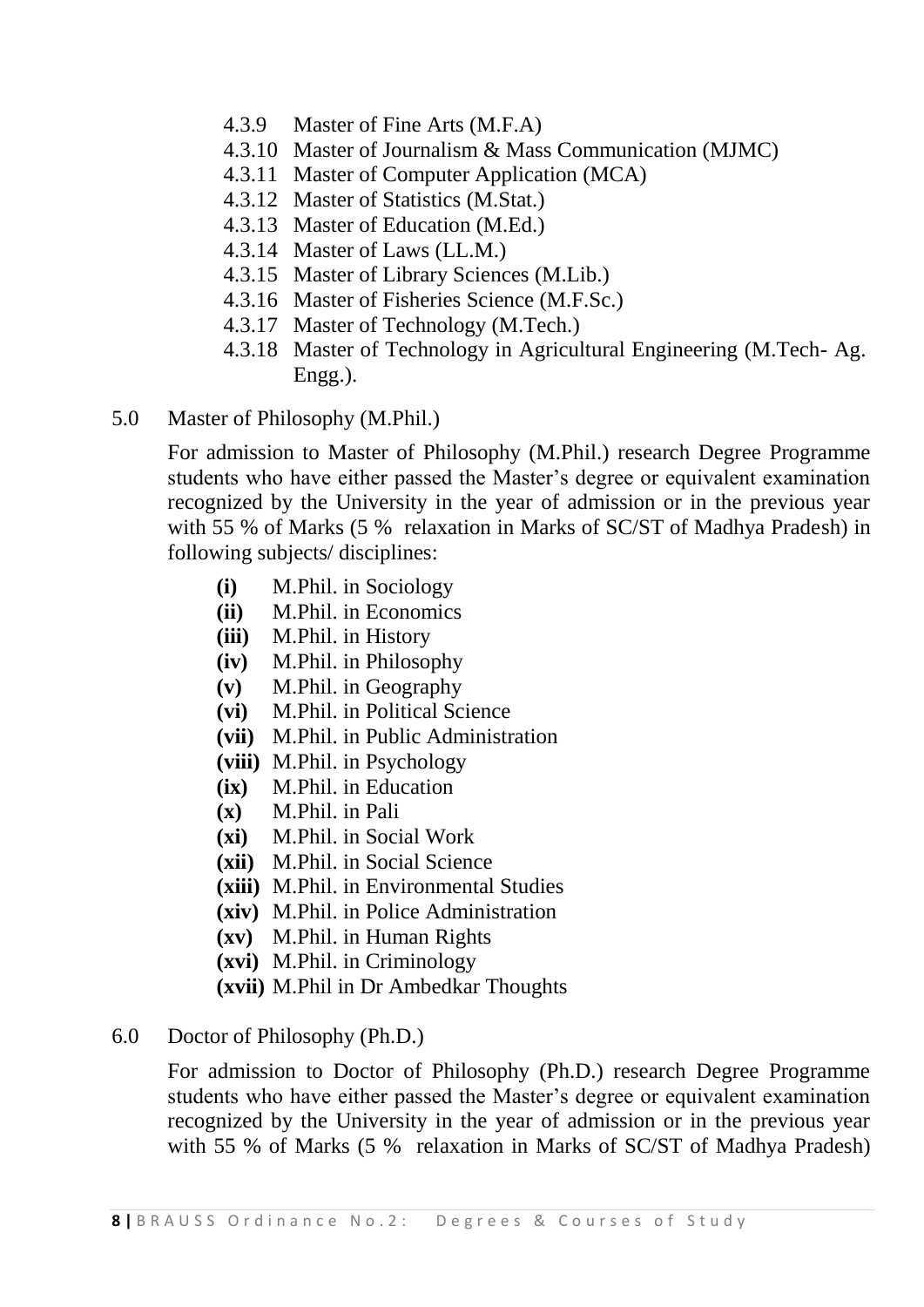- 4.3.9 Master of Fine Arts (M.F.A)
- 4.3.10 Master of Journalism & Mass Communication (MJMC)
- 4.3.11 Master of Computer Application (MCA)
- 4.3.12 Master of Statistics (M.Stat.)
- 4.3.13 Master of Education (M.Ed.)
- 4.3.14 Master of Laws (LL.M.)
- 4.3.15 Master of Library Sciences (M.Lib.)
- 4.3.16 Master of Fisheries Science (M.F.Sc.)
- 4.3.17 Master of Technology (M.Tech.)
- 4.3.18 Master of Technology in Agricultural Engineering (M.Tech- Ag. Engg.).
- 5.0 Master of Philosophy (M.Phil.)

For admission to Master of Philosophy (M.Phil.) research Degree Programme students who have either passed the Master's degree or equivalent examination recognized by the University in the year of admission or in the previous year with 55 % of Marks (5 % relaxation in Marks of SC/ST of Madhya Pradesh) in following subjects/ disciplines:

- **(i)** M.Phil. in Sociology
- **(ii)** M.Phil. in Economics
- **(iii)** M.Phil. in History
- **(iv)** M.Phil. in Philosophy
- **(v)** M.Phil. in Geography
- **(vi)** M.Phil. in Political Science
- **(vii)** M.Phil. in Public Administration
- **(viii)** M.Phil. in Psychology
- **(ix)** M.Phil. in Education
- **(x)** M.Phil. in Pali
- **(xi)** M.Phil. in Social Work
- **(xii)** M.Phil. in Social Science
- **(xiii)** M.Phil. in Environmental Studies
- **(xiv)** M.Phil. in Police Administration
- **(xv)** M.Phil. in Human Rights
- **(xvi)** M.Phil. in Criminology
- **(xvii)** M.Phil in Dr Ambedkar Thoughts

#### 6.0 Doctor of Philosophy (Ph.D.)

For admission to Doctor of Philosophy (Ph.D.) research Degree Programme students who have either passed the Master's degree or equivalent examination recognized by the University in the year of admission or in the previous year with 55 % of Marks (5 % relaxation in Marks of SC/ST of Madhya Pradesh)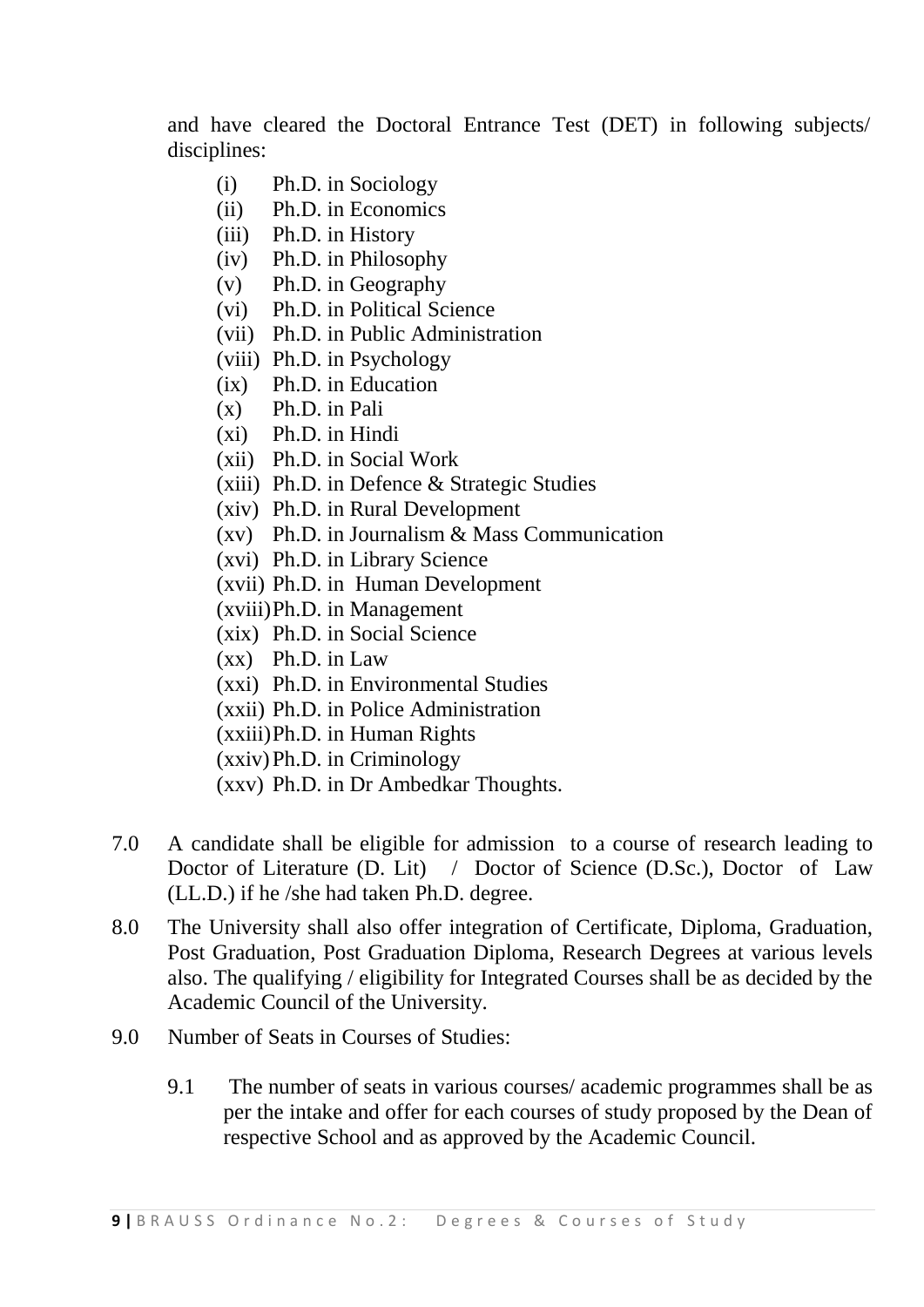and have cleared the Doctoral Entrance Test (DET) in following subjects/ disciplines:

- (i) Ph.D. in Sociology
- (ii) Ph.D. in Economics
- (iii) Ph.D. in History
- (iv) Ph.D. in Philosophy
- (v) Ph.D. in Geography
- (vi) Ph.D. in Political Science
- (vii) Ph.D. in Public Administration
- (viii) Ph.D. in Psychology
- (ix) Ph.D. in Education
- (x) Ph.D. in Pali
- (xi) Ph.D. in Hindi
- (xii) Ph.D. in Social Work
- (xiii) Ph.D. in Defence & Strategic Studies
- (xiv) Ph.D. in Rural Development
- (xv) Ph.D. in Journalism & Mass Communication
- (xvi) Ph.D. in Library Science
- (xvii) Ph.D. in Human Development
- (xviii)Ph.D. in Management
- (xix) Ph.D. in Social Science
- (xx) Ph.D. in Law
- (xxi) Ph.D. in Environmental Studies
- (xxii) Ph.D. in Police Administration
- (xxiii)Ph.D. in Human Rights
- (xxiv)Ph.D. in Criminology
- (xxv) Ph.D. in Dr Ambedkar Thoughts.
- 7.0 A candidate shall be eligible for admission to a course of research leading to Doctor of Literature (D. Lit) / Doctor of Science (D.Sc.), Doctor of Law (LL.D.) if he /she had taken Ph.D. degree.
- 8.0 The University shall also offer integration of Certificate, Diploma, Graduation, Post Graduation, Post Graduation Diploma, Research Degrees at various levels also. The qualifying / eligibility for Integrated Courses shall be as decided by the Academic Council of the University.
- 9.0 Number of Seats in Courses of Studies:
	- 9.1 The number of seats in various courses/ academic programmes shall be as per the intake and offer for each courses of study proposed by the Dean of respective School and as approved by the Academic Council.